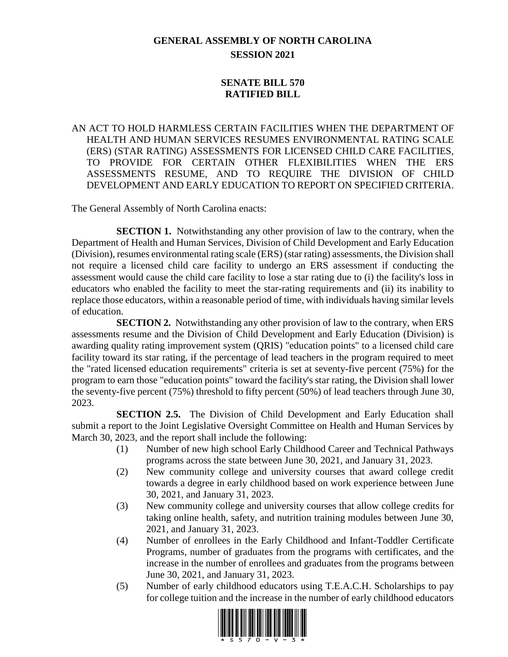## **GENERAL ASSEMBLY OF NORTH CAROLINA SESSION 2021**

## **SENATE BILL 570 RATIFIED BILL**

AN ACT TO HOLD HARMLESS CERTAIN FACILITIES WHEN THE DEPARTMENT OF HEALTH AND HUMAN SERVICES RESUMES ENVIRONMENTAL RATING SCALE (ERS) (STAR RATING) ASSESSMENTS FOR LICENSED CHILD CARE FACILITIES, TO PROVIDE FOR CERTAIN OTHER FLEXIBILITIES WHEN THE ERS ASSESSMENTS RESUME, AND TO REQUIRE THE DIVISION OF CHILD DEVELOPMENT AND EARLY EDUCATION TO REPORT ON SPECIFIED CRITERIA.

The General Assembly of North Carolina enacts:

**SECTION 1.** Notwithstanding any other provision of law to the contrary, when the Department of Health and Human Services, Division of Child Development and Early Education (Division), resumes environmental rating scale (ERS) (star rating) assessments, the Division shall not require a licensed child care facility to undergo an ERS assessment if conducting the assessment would cause the child care facility to lose a star rating due to (i) the facility's loss in educators who enabled the facility to meet the star-rating requirements and (ii) its inability to replace those educators, within a reasonable period of time, with individuals having similar levels of education.

**SECTION 2.** Notwithstanding any other provision of law to the contrary, when ERS assessments resume and the Division of Child Development and Early Education (Division) is awarding quality rating improvement system (QRIS) "education points" to a licensed child care facility toward its star rating, if the percentage of lead teachers in the program required to meet the "rated licensed education requirements" criteria is set at seventy-five percent (75%) for the program to earn those "education points" toward the facility's star rating, the Division shall lower the seventy-five percent (75%) threshold to fifty percent (50%) of lead teachers through June 30, 2023.

**SECTION 2.5.** The Division of Child Development and Early Education shall submit a report to the Joint Legislative Oversight Committee on Health and Human Services by March 30, 2023, and the report shall include the following:

- (1) Number of new high school Early Childhood Career and Technical Pathways programs across the state between June 30, 2021, and January 31, 2023.
- (2) New community college and university courses that award college credit towards a degree in early childhood based on work experience between June 30, 2021, and January 31, 2023.
- (3) New community college and university courses that allow college credits for taking online health, safety, and nutrition training modules between June 30, 2021, and January 31, 2023.
- (4) Number of enrollees in the Early Childhood and Infant-Toddler Certificate Programs, number of graduates from the programs with certificates, and the increase in the number of enrollees and graduates from the programs between June 30, 2021, and January 31, 2023.
- (5) Number of early childhood educators using T.E.A.C.H. Scholarships to pay for college tuition and the increase in the number of early childhood educators